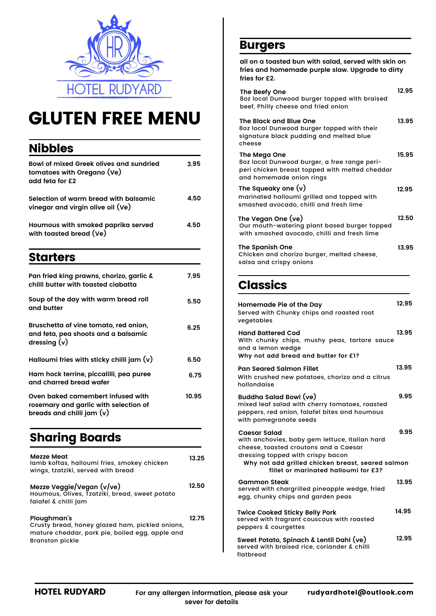

# GLUTEN FREE MENU

## Nibbles

| <b>Bowl of mixed Greek olives and sundried</b><br>tomatoes with Oregano (Ve)<br>add feta for £2           | 3.95  |
|-----------------------------------------------------------------------------------------------------------|-------|
| Selection of warm bread with balsamic<br>vinegar and virgin olive oil (Ve)                                | 4.50  |
| Houmous with smoked paprika served<br>with toasted bread (Ve)                                             | 4.50  |
| <b>Starters</b>                                                                                           |       |
| Pan fried king prawns, chorizo, garlic &<br>chilli butter with toasted ciabatta                           | 7.95  |
| Soup of the day with warm bread roll<br>and butter                                                        | 5.50  |
| Bruschetta of vine tomato, red onion,<br>and feta, pea shoots and a balsamic<br>dressing $(v)$            | 6.25  |
| Halloumi fries with sticky chilli jam $(v)$                                                               | 6.50  |
| Ham hock terrine, piccalilli, pea puree<br>and charred bread wafer                                        | 6.75  |
| Oven baked camembert infused with<br>rosemary and garlic with selection of<br>breads and chilli jam $(v)$ | 10.95 |
| <b>Sharing Boards</b>                                                                                     |       |
| Mezze Meat<br>lamb koftas, halloumi fries, smokey chicken<br>wings, tzatziki, served with bread           | 13.25 |
| Mezze Veggie/Vegan (v/ve)<br>Houmous, Olives, Tzatziki, bread, sweet potato<br>falafel & chilli jam       | 12.50 |

| Ploughman's                                     | 12.75 |
|-------------------------------------------------|-------|
| Crusty bread, honey glazed ham, pickled onions, |       |
| mature cheddar, pork pie, boiled egg, apple and |       |
| <b>Branston pickle</b>                          |       |

### Burgers

**all on a toasted bun with salad, served with skin on fries and homemade purple slaw. Upgrade to dirty fries for £2.**

| The Beefy One<br>8oz local Dunwood burger topped with braised<br>beef, Philly cheese and fried onion                                       | 12.95 |
|--------------------------------------------------------------------------------------------------------------------------------------------|-------|
| The Black and Blue One<br>8oz local Dunwood burger topped with their<br>signature black pudding and melted blue<br>cheese                  | 13.95 |
| The Mega One<br>8oz local Dunwood burger, a free range peri-<br>peri chicken breast topped with melted cheddar<br>and homemade onion rings | 15.95 |
| The Squeaky one $(v)$<br>marinated halloumi grilled and topped with<br>smashed avocado, chilli and fresh lime                              | 12.95 |
| The Vegan One (ve)<br>Our mouth-watering plant based burger topped<br>with smashed avocado, chilli and fresh lime                          | 12.50 |
| <b>The Spanish One</b><br>Chicken and chorizo burger, melted cheese,                                                                       | 13.95 |

## Classics

salsa and crispy onions

| Homemade Pie of the Day<br>Served with Chunky chips and roasted root<br>vegetables                                                                                                                                                               | 12.95 |
|--------------------------------------------------------------------------------------------------------------------------------------------------------------------------------------------------------------------------------------------------|-------|
| <b>Hand Battered Cod</b><br>With chunky chips, mushy peas, tartare sauce<br>and a lemon wedge<br>Why not add bread and butter for £1?                                                                                                            | 13.95 |
| <b>Pan Seared Salmon Fillet</b><br>With crushed new potatoes, chorizo and a citrus<br>hollondaise                                                                                                                                                | 13.95 |
| Buddha Salad Bowl (ve)<br>mixed leaf salad with cherry tomatoes, roasted<br>peppers, red onion, falafel bites and houmous<br>with pomegranate seeds                                                                                              | 9.95  |
| <b>Caesar Salad</b><br>with anchovies, baby gem lettuce, Italian hard<br>cheese, toasted croutons and a Caesar<br>dressing topped with crispy bacon<br>Why not add grilled chicken breast, seared salmon<br>fillet or marinated halloumi for £3? | 9.95  |
| <b>Gammon Steak</b><br>served with chargrilled pineapple wedge, fried<br>egg, chunky chips and garden peas                                                                                                                                       | 13.95 |
| <b>Twice Cooked Sticky Belly Pork</b><br>served with fragrant couscous with roasted<br>peppers & courgettes                                                                                                                                      | 14.95 |
| Sweet Potato, Spinach & Lentil Dahl (ve)<br>served with braised rice, coriander & chilli<br>flatbread                                                                                                                                            | 12.95 |